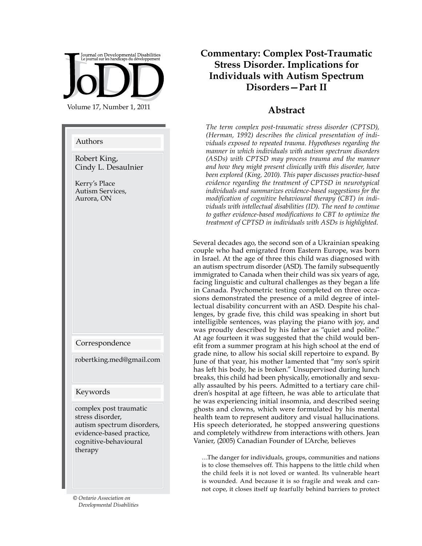Journal on Developmental Disabilities<br>Le journal sur les handicaps du développement Volume 17, Number 1, 2011

#### Authors

Robert King, Cindy L. Desaulnier

Kerry's Place Autism Services, Aurora, ON

Correspondence

robertking.med@gmail.com

#### Keywords

complex post traumatic stress disorder, autism spectrum disorders, evidence-based practice, cognitive-behavioural therapy

*© Ontario Association on Developmental Disabilities*

## **Commentary: Complex Post-Traumatic Stress Disorder. Implications for Individuals with Autism Spectrum Disorders—Part II**

### **Abstract**

*The term complex post-traumatic stress disorder (CPTSD), (Herman, 1992) describes the clinical presentation of individuals exposed to repeated trauma. Hypotheses regarding the manner in which individuals with autism spectrum disorders (ASDs) with CPTSD may process trauma and the manner and how they might present clinically with this disorder, have been explored (King, 2010). This paper discusses practice-based evidence regarding the treatment of CPTSD in neurotypical individuals and summarizes evidence-based suggestions for the modification of cognitive behavioural therapy (CBT) in individuals with intellectual disabilities (ID). The need to continue to gather evidence-based modifications to CBT to optimize the treatment of CPTSD in individuals with ASDs is highlighted.*

Several decades ago, the second son of a Ukrainian speaking couple who had emigrated from Eastern Europe, was born in Israel. At the age of three this child was diagnosed with an autism spectrum disorder (ASD). The family subsequently immigrated to Canada when their child was six years of age, facing linguistic and cultural challenges as they began a life in Canada. Psychometric testing completed on three occasions demonstrated the presence of a mild degree of intellectual disability concurrent with an ASD. Despite his challenges, by grade five, this child was speaking in short but intelligible sentences, was playing the piano with joy, and was proudly described by his father as "quiet and polite." At age fourteen it was suggested that the child would benefit from a summer program at his high school at the end of grade nine, to allow his social skill repertoire to expand. By June of that year, his mother lamented that "my son's spirit has left his body, he is broken." Unsupervised during lunch breaks, this child had been physically, emotionally and sexually assaulted by his peers. Admitted to a tertiary care children's hospital at age fifteen, he was able to articulate that he was experiencing initial insomnia, and described seeing ghosts and clowns, which were formulated by his mental health team to represent auditory and visual hallucinations. His speech deteriorated, he stopped answering questions and completely withdrew from interactions with others. Jean Vanier, (2005) Canadian Founder of L'Arche, believes

…The danger for individuals, groups, communities and nations is to close themselves off. This happens to the little child when the child feels it is not loved or wanted. Its vulnerable heart is wounded. And because it is so fragile and weak and cannot cope, it closes itself up fearfully behind barriers to protect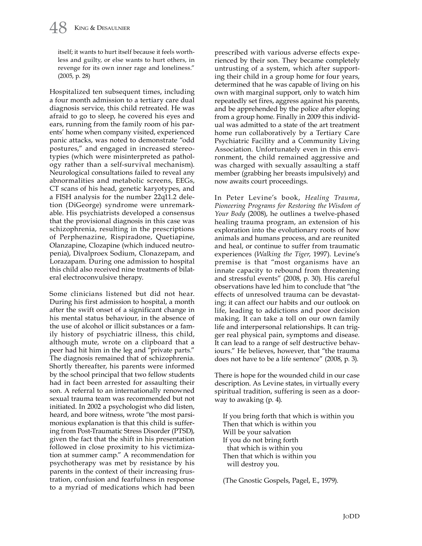itself; it wants to hurt itself because it feels worthless and guilty, or else wants to hurt others, in revenge for its own inner rage and loneliness." (2005, p. 28)

Hospitalized ten subsequent times, including a four month admission to a tertiary care dual diagnosis service, this child retreated. He was afraid to go to sleep, he covered his eyes and ears, running from the family room of his parents' home when company visited, experienced panic attacks, was noted to demonstrate "odd postures," and engaged in increased stereotypies (which were misinterpreted as pathology rather than a self-survival mechanism). Neurological consultations failed to reveal any abnormalities and metabolic screens, EEGs, CT scans of his head, genetic karyotypes, and a FISH analysis for the number 22q11.2 deletion (DiGeorge) syndrome were unremarkable. His psychiatrists developed a consensus that the provisional diagnosis in this case was schizophrenia, resulting in the prescriptions of Perphenazine, Rispiradone, Quetiapine, Olanzapine, Clozapine (which induced neutropenia), Divalproex Sodium, Clonazepam, and Lorazapam. During one admission to hospital this child also received nine treatments of bilateral electroconvulsive therapy.

Some clinicians listened but did not hear. During his first admission to hospital, a month after the swift onset of a significant change in his mental status behaviour, in the absence of the use of alcohol or illicit substances or a family history of psychiatric illness, this child, although mute, wrote on a clipboard that a peer had hit him in the leg and "private parts." The diagnosis remained that of schizophrenia. Shortly thereafter, his parents were informed by the school principal that two fellow students had in fact been arrested for assaulting their son. A referral to an internationally renowned sexual trauma team was recommended but not initiated. In 2002 a psychologist who did listen, heard, and bore witness, wrote "the most parsimonious explanation is that this child is suffering from Post-Traumatic Stress Disorder (PTSD), given the fact that the shift in his presentation followed in close proximity to his victimization at summer camp." A recommendation for psychotherapy was met by resistance by his parents in the context of their increasing frustration, confusion and fearfulness in response to a myriad of medications which had been

prescribed with various adverse effects experienced by their son. They became completely untrusting of a system, which after supporting their child in a group home for four years, determined that he was capable of living on his own with marginal support, only to watch him repeatedly set fires, aggress against his parents, and be apprehended by the police after eloping from a group home. Finally in 2009 this individual was admitted to a state of the art treatment home run collaboratively by a Tertiary Care Psychiatric Facility and a Community Living Association. Unfortunately even in this environment, the child remained aggressive and was charged with sexually assaulting a staff member (grabbing her breasts impulsively) and now awaits court proceedings.

In Peter Levine's book, *Healing Trauma*, *Pioneering Programs for Restoring the Wisdom of Your Body* (2008), he outlines a twelve-phased healing trauma program, an extension of his exploration into the evolutionary roots of how animals and humans process, and are reunited and heal, or continue to suffer from traumatic experiences (*Walking the Tiger*, 1997). Levine's premise is that "most organisms have an innate capacity to rebound from threatening and stressful events" (2008, p. 30). His careful observations have led him to conclude that "the effects of unresolved trauma can be devastating; it can affect our habits and our outlook on life, leading to addictions and poor decision making. It can take a toll on our own family life and interpersonal relationships. It can trigger real physical pain, symptoms and disease. It can lead to a range of self destructive behaviours." He believes, however, that "the trauma does not have to be a life sentence" (2008, p. 3).

There is hope for the wounded child in our case description. As Levine states, in virtually every spiritual tradition, suffering is seen as a doorway to awaking (p. 4).

If you bring forth that which is within you Then that which is within you Will be your salvation If you do not bring forth that which is within you Then that which is within you will destroy you.

(The Gnostic Gospels, Pagel, E., 1979).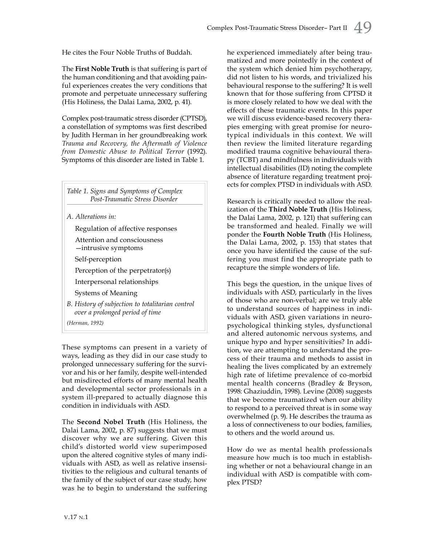He cites the Four Noble Truths of Buddah.

The **First Noble Truth** is that suffering is part of the human conditioning and that avoiding painful experiences creates the very conditions that promote and perpetuate unnecessary suffering (His Holiness, the Dalai Lama, 2002, p. 41).

Complex post-traumatic stress disorder (CPTSD), a constellation of symptoms was first described by Judith Herman in her groundbreaking work *Trauma and Recovery, the Aftermath of Violence from Domestic Abuse to Political Terror* (1992). Symptoms of this disorder are listed in Table 1.

*Table 1. Signs and Symptoms of Complex Post‑Traumatic Stress Disorder A. Alterations in:* Regulation of affective responses Attention and consciousness —intrusive symptoms Self-perception Perception of the perpetrator(s) Interpersonal relationships Systems of Meaning *B. History of subjection to totalitarian control over a prolonged period of time*

*(Herman, 1992)*

These symptoms can present in a variety of ways, leading as they did in our case study to prolonged unnecessary suffering for the survivor and his or her family, despite well-intended but misdirected efforts of many mental health and developmental sector professionals in a system ill-prepared to actually diagnose this condition in individuals with ASD.

The **Second Nobel Truth** (His Holiness, the Dalai Lama, 2002, p. 87) suggests that we must discover why we are suffering. Given this child's distorted world view superimposed upon the altered cognitive styles of many individuals with ASD, as well as relative insensitivities to the religious and cultural tenants of the family of the subject of our case study, how was he to begin to understand the suffering he experienced immediately after being traumatized and more pointedly in the context of the system which denied him psychotherapy, did not listen to his words, and trivialized his behavioural response to the suffering? It is well known that for those suffering from CPTSD it is more closely related to how we deal with the effects of these traumatic events. In this paper we will discuss evidence-based recovery therapies emerging with great promise for neurotypical individuals in this context. We will then review the limited literature regarding modified trauma cognitive behavioural therapy (TCBT) and mindfulness in individuals with intellectual disabilities (ID) noting the complete absence of literature regarding treatment projects for complex PTSD in individuals with ASD.

Research is critically needed to allow the realization of the **Third Noble Truth** (His Holiness, the Dalai Lama, 2002, p. 121) that suffering can be transformed and healed. Finally we will ponder the **Fourth Noble Truth** (His Holiness, the Dalai Lama, 2002, p. 153) that states that once you have identified the cause of the suffering you must find the appropriate path to recapture the simple wonders of life.

This begs the question, in the unique lives of individuals with ASD, particularly in the lives of those who are non-verbal; are we truly able to understand sources of happiness in individuals with ASD, given variations in neuropsychological thinking styles, dysfunctional and altered autonomic nervous systems, and unique hypo and hyper sensitivities? In addition, we are attempting to understand the process of their trauma and methods to assist in healing the lives complicated by an extremely high rate of lifetime prevalence of co-morbid mental health concerns (Bradley & Bryson, 1998: Ghaziuddin, 1998). Levine (2008) suggests that we become traumatized when our ability to respond to a perceived threat is in some way overwhelmed (p. 9). He describes the trauma as a loss of connectiveness to our bodies, families, to others and the world around us.

How do we as mental health professionals measure how much is too much in establishing whether or not a behavioural change in an individual with ASD is compatible with complex PTSD?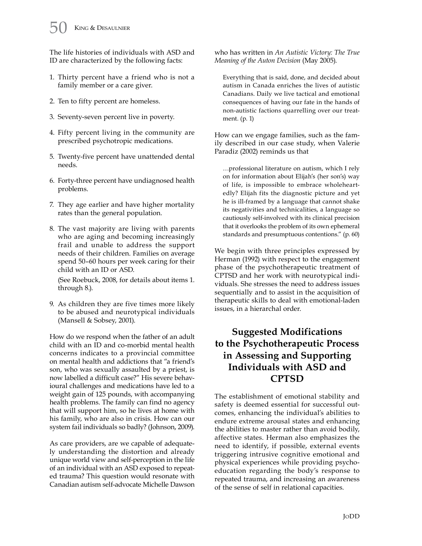The life histories of individuals with ASD and ID are characterized by the following facts:

- 1. Thirty percent have a friend who is not a family member or a care giver.
- 2. Ten to fifty percent are homeless.
- 3. Seventy-seven percent live in poverty.
- 4. Fifty percent living in the community are prescribed psychotropic medications.
- 5. Twenty-five percent have unattended dental needs.
- 6. Forty-three percent have undiagnosed health problems.
- 7. They age earlier and have higher mortality rates than the general population.
- 8. The vast majority are living with parents who are aging and becoming increasingly frail and unable to address the support needs of their children. Families on average spend 50–60 hours per week caring for their child with an ID or ASD.

(See Roebuck, 2008, for details about items 1. through 8.).

9. As children they are five times more likely to be abused and neurotypical individuals (Mansell & Sobsey, 2001).

How do we respond when the father of an adult child with an ID and co-morbid mental health concerns indicates to a provincial committee on mental health and addictions that "a friend's son, who was sexually assaulted by a priest, is now labelled a difficult case?" His severe behavioural challenges and medications have led to a weight gain of 125 pounds, with accompanying health problems. The family can find no agency that will support him, so he lives at home with his family, who are also in crisis. How can our system fail individuals so badly? (Johnson, 2009).

As care providers, are we capable of adequately understanding the distortion and already unique world view and self-perception in the life of an individual with an ASD exposed to repeated trauma? This question would resonate with Canadian autism self-advocate Michelle Dawson who has written in *An Autistic Victory: The True Meaning of the Auton Decision* (May 2005).

Everything that is said, done, and decided about autism in Canada enriches the lives of autistic Canadians. Daily we live tactical and emotional consequences of having our fate in the hands of non-autistic factions quarrelling over our treatment. (p. 1)

How can we engage families, such as the family described in our case study, when Valerie Paradiz (2002) reminds us that

…professional literature on autism, which I rely on for information about Elijah's (her son's) way of life, is impossible to embrace wholeheartedly? Elijah fits the diagnostic picture and yet he is ill-framed by a language that cannot shake its negativities and technicalities, a language so cautiously self-involved with its clinical precision that it overlooks the problem of its own ephemeral standards and presumptuous contentions." (p. 60)

We begin with three principles expressed by Herman (1992) with respect to the engagement phase of the psychotherapeutic treatment of CPTSD and her work with neurotypical individuals. She stresses the need to address issues sequentially and to assist in the acquisition of therapeutic skills to deal with emotional-laden issues, in a hierarchal order.

# **Suggested Modifications to the Psychotherapeutic Process in Assessing and Supporting Individuals with ASD and CPTSD**

The establishment of emotional stability and safety is deemed essential for successful outcomes, enhancing the individual's abilities to endure extreme arousal states and enhancing the abilities to master rather than avoid bodily, affective states. Herman also emphasizes the need to identify, if possible, external events triggering intrusive cognitive emotional and physical experiences while providing psychoeducation regarding the body's response to repeated trauma, and increasing an awareness of the sense of self in relational capacities.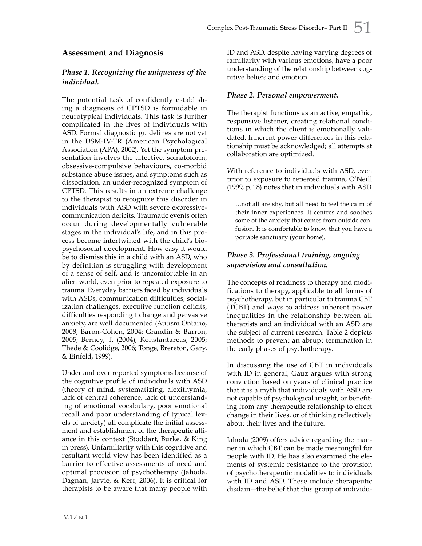### **Assessment and Diagnosis**

#### *Phase 1. Recognizing the uniqueness of the individual.*

The potential task of confidently establishing a diagnosis of CPTSD is formidable in neurotypical individuals. This task is further complicated in the lives of individuals with ASD. Formal diagnostic guidelines are not yet in the DSM-IV-TR (American Psychological Association (APA), 2002). Yet the symptom presentation involves the affective, somatoform, obsessive-compulsive behaviours, co-morbid substance abuse issues, and symptoms such as dissociation, an under-recognized symptom of CPTSD. This results in an extreme challenge to the therapist to recognize this disorder in individuals with ASD with severe expressivecommunication deficits. Traumatic events often occur during developmentally vulnerable stages in the individual's life, and in this process become intertwined with the child's biopsychosocial development. How easy it would be to dismiss this in a child with an ASD, who by definition is struggling with development of a sense of self, and is uncomfortable in an alien world, even prior to repeated exposure to trauma. Everyday barriers faced by individuals with ASDs, communication difficulties, socialization challenges, executive function deficits, difficulties responding t change and pervasive anxiety, are well documented (Autism Ontario, 2008, Baron-Cohen, 2004; Grandin & Barron, 2005; Berney, T. (2004); Konstantareas, 2005; Thede & Coolidge, 2006; Tonge, Brereton, Gary, & Einfeld, 1999).

Under and over reported symptoms because of the cognitive profile of individuals with ASD (theory of mind, systematizing, alexithymia, lack of central coherence, lack of understanding of emotional vocabulary, poor emotional recall and poor understanding of typical levels of anxiety) all complicate the initial assessment and establishment of the therapeutic alliance in this context (Stoddart, Burke, & King in press). Unfamiliarity with this cognitive and resultant world view has been identified as a barrier to effective assessments of need and optimal provision of psychotherapy (Jahoda, Dagnan, Jarvie, & Kerr, 2006). It is critical for therapists to be aware that many people with ID and ASD, despite having varying degrees of familiarity with various emotions, have a poor understanding of the relationship between cognitive beliefs and emotion.

#### *Phase 2. Personal empowerment.*

The therapist functions as an active, empathic, responsive listener, creating relational conditions in which the client is emotionally validated. Inherent power differences in this relationship must be acknowledged; all attempts at collaboration are optimized.

With reference to individuals with ASD, even prior to exposure to repeated trauma, O'Neill (1999, p. 18) notes that in individuals with ASD

…not all are shy, but all need to feel the calm of their inner experiences. It centres and soothes some of the anxiety that comes from outside confusion. It is comfortable to know that you have a portable sanctuary (your home).

### *Phase 3. Professional training, ongoing supervision and consultation.*

The concepts of readiness to therapy and modifications to therapy, applicable to all forms of psychotherapy, but in particular to trauma CBT (TCBT) and ways to address inherent power inequalities in the relationship between all therapists and an individual with an ASD are the subject of current research. Table 2 depicts methods to prevent an abrupt termination in the early phases of psychotherapy.

In discussing the use of CBT in individuals with ID in general, Gauz argues with strong conviction based on years of clinical practice that it is a myth that individuals with ASD are not capable of psychological insight, or benefiting from any therapeutic relationship to effect change in their lives, or of thinking reflectively about their lives and the future.

Jahoda (2009) offers advice regarding the manner in which CBT can be made meaningful for people with ID. He has also examined the elements of systemic resistance to the provision of psychotherapeutic modalities to individuals with ID and ASD. These include therapeutic disdain—the belief that this group of individu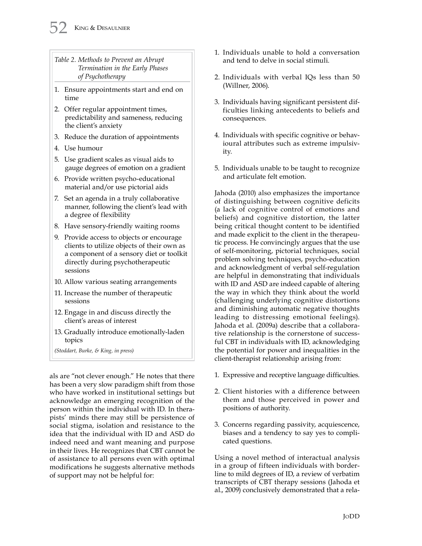*Table 2. Methods to Prevent an Abrupt Termination in the Early Phases of Psychotherapy*

- 1. Ensure appointments start and end on time
- 2. Offer regular appointment times, predictability and sameness, reducing the client's anxiety
- 3. Reduce the duration of appointments
- 4. Use humour
- 5. Use gradient scales as visual aids to gauge degrees of emotion on a gradient
- 6. Provide written psycho-educational material and/or use pictorial aids
- 7. Set an agenda in a truly collaborative manner, following the client's lead with a degree of flexibility
- 8. Have sensory-friendly waiting rooms
- 9. Provide access to objects or encourage clients to utilize objects of their own as a component of a sensory diet or toolkit directly during psychotherapeutic sessions
- 10. Allow various seating arrangements
- 11. Increase the number of therapeutic sessions
- 12. Engage in and discuss directly the client's areas of interest
- 13. Gradually introduce emotionally-laden topics

*(Stoddart, Burke, & King, in press)*

als are "not clever enough." He notes that there has been a very slow paradigm shift from those who have worked in institutional settings but acknowledge an emerging recognition of the person within the individual with ID. In therapists' minds there may still be persistence of social stigma, isolation and resistance to the idea that the individual with ID and ASD do indeed need and want meaning and purpose in their lives. He recognizes that CBT cannot be of assistance to all persons even with optimal modifications he suggests alternative methods of support may not be helpful for:

- 1. Individuals unable to hold a conversation and tend to delve in social stimuli.
- 2. Individuals with verbal IQs less than 50 (Willner, 2006).
- 3. Individuals having significant persistent difficulties linking antecedents to beliefs and consequences.
- 4. Individuals with specific cognitive or behavioural attributes such as extreme impulsivity.
- 5. Individuals unable to be taught to recognize and articulate felt emotion.

Jahoda (2010) also emphasizes the importance of distinguishing between cognitive deficits (a lack of cognitive control of emotions and beliefs) and cognitive distortion, the latter being critical thought content to be identified and made explicit to the client in the therapeutic process. He convincingly argues that the use of self-monitoring, pictorial techniques, social problem solving techniques, psycho-education and acknowledgment of verbal self-regulation are helpful in demonstrating that individuals with ID and ASD are indeed capable of altering the way in which they think about the world (challenging underlying cognitive distortions and diminishing automatic negative thoughts leading to distressing emotional feelings). Jahoda et al. (2009a) describe that a collaborative relationship is the cornerstone of successful CBT in individuals with ID, acknowledging the potential for power and inequalities in the client-therapist relationship arising from:

- 1. Expressive and receptive language difficulties.
- 2. Client histories with a difference between them and those perceived in power and positions of authority.
- 3. Concerns regarding passivity, acquiescence, biases and a tendency to say yes to complicated questions.

Using a novel method of interactual analysis in a group of fifteen individuals with borderline to mild degrees of ID, a review of verbatim transcripts of CBT therapy sessions (Jahoda et al., 2009) conclusively demonstrated that a rela-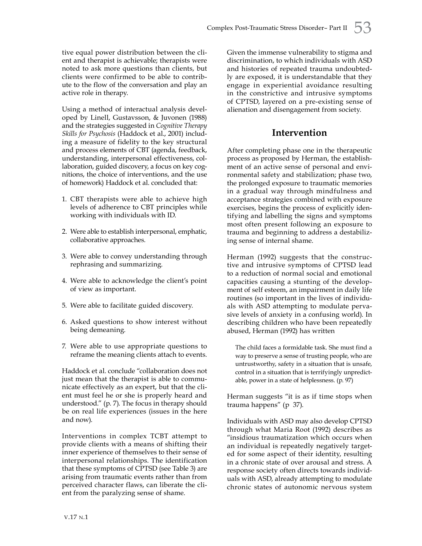tive equal power distribution between the client and therapist is achievable; therapists were noted to ask more questions than clients, but clients were confirmed to be able to contribute to the flow of the conversation and play an active role in therapy.

Using a method of interactual analysis developed by Linell, Gustavsson, & Juvonen (1988) and the strategies suggested in *Cognitive Therapy Skills for Psychosis* (Haddock et al., 2001) including a measure of fidelity to the key structural and process elements of CBT (agenda, feedback, understanding, interpersonal effectiveness, collaboration, guided discovery, a focus on key cognitions, the choice of interventions, and the use of homework) Haddock et al. concluded that:

- 1. CBT therapists were able to achieve high levels of adherence to CBT principles while working with individuals with ID.
- 2. Were able to establish interpersonal, emphatic, collaborative approaches.
- 3. Were able to convey understanding through rephrasing and summarizing.
- 4. Were able to acknowledge the client's point of view as important.
- 5. Were able to facilitate guided discovery.
- 6. Asked questions to show interest without being demeaning.
- 7. Were able to use appropriate questions to reframe the meaning clients attach to events.

Haddock et al. conclude "collaboration does not just mean that the therapist is able to communicate effectively as an expert, but that the client must feel he or she is properly heard and understood." (p. 7). The focus in therapy should be on real life experiences (issues in the here and now).

Interventions in complex TCBT attempt to provide clients with a means of shifting their inner experience of themselves to their sense of interpersonal relationships. The identification that these symptoms of CPTSD (see Table 3) are arising from traumatic events rather than from perceived character flaws, can liberate the client from the paralyzing sense of shame.

Given the immense vulnerability to stigma and discrimination, to which individuals with ASD and histories of repeated trauma undoubtedly are exposed, it is understandable that they engage in experiential avoidance resulting in the constrictive and intrusive symptoms of CPTSD, layered on a pre-existing sense of alienation and disengagement from society.

## **Intervention**

After completing phase one in the therapeutic process as proposed by Herman, the establishment of an active sense of personal and environmental safety and stabilization; phase two, the prolonged exposure to traumatic memories in a gradual way through mindfulness and acceptance strategies combined with exposure exercises, begins the process of explicitly identifying and labelling the signs and symptoms most often present following an exposure to trauma and beginning to address a destabilizing sense of internal shame.

Herman (1992) suggests that the constructive and intrusive symptoms of CPTSD lead to a reduction of normal social and emotional capacities causing a stunting of the development of self esteem, an impairment in daily life routines (so important in the lives of individuals with ASD attempting to modulate pervasive levels of anxiety in a confusing world). In describing children who have been repeatedly abused, Herman (1992) has written

The child faces a formidable task. She must find a way to preserve a sense of trusting people, who are untrustworthy, safety in a situation that is unsafe, control in a situation that is terrifyingly unpredictable, power in a state of helplessness. (p. 97)

Herman suggests "it is as if time stops when trauma happens" (p 37).

Individuals with ASD may also develop CPTSD through what Maria Root (1992) describes as "insidious traumatization which occurs when an individual is repeatedly negatively targeted for some aspect of their identity, resulting in a chronic state of over arousal and stress. A response society often directs towards individuals with ASD, already attempting to modulate chronic states of autonomic nervous system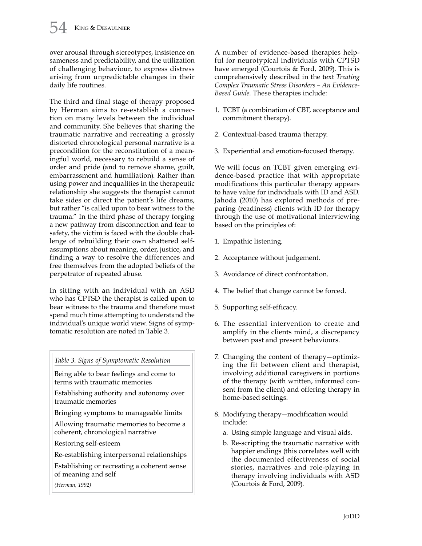over arousal through stereotypes, insistence on sameness and predictability, and the utilization of challenging behaviour, to express distress arising from unpredictable changes in their daily life routines.

The third and final stage of therapy proposed by Herman aims to re-establish a connection on many levels between the individual and community. She believes that sharing the traumatic narrative and recreating a grossly distorted chronological personal narrative is a precondition for the reconstitution of a meaningful world, necessary to rebuild a sense of order and pride (and to remove shame, guilt, embarrassment and humiliation). Rather than using power and inequalities in the therapeutic relationship she suggests the therapist cannot take sides or direct the patient's life dreams, but rather "is called upon to bear witness to the trauma." In the third phase of therapy forging a new pathway from disconnection and fear to safety, the victim is faced with the double challenge of rebuilding their own shattered selfassumptions about meaning, order, justice, and finding a way to resolve the differences and free themselves from the adopted beliefs of the perpetrator of repeated abuse.

In sitting with an individual with an ASD who has CPTSD the therapist is called upon to bear witness to the trauma and therefore must spend much time attempting to understand the individual's unique world view. Signs of symptomatic resolution are noted in Table 3.

*Table 3. Signs of Symptomatic Resolution*

Being able to bear feelings and come to terms with traumatic memories

Establishing authority and autonomy over traumatic memories

Bringing symptoms to manageable limits

Allowing traumatic memories to become a coherent, chronological narrative

Restoring self-esteem

Re-establishing interpersonal relationships

Establishing or recreating a coherent sense of meaning and self

*(Herman, 1992)*

A number of evidence-based therapies helpful for neurotypical individuals with CPTSD have emerged (Courtois & Ford, 2009). This is comprehensively described in the text *Treating Complex Traumatic Stress Disorders – An Evidence-Based Guide*. These therapies include:

- 1. TCBT (a combination of CBT, acceptance and commitment therapy).
- 2. Contextual-based trauma therapy.
- 3. Experiential and emotion-focused therapy.

We will focus on TCBT given emerging evidence-based practice that with appropriate modifications this particular therapy appears to have value for individuals with ID and ASD. Jahoda (2010) has explored methods of preparing (readiness) clients with ID for therapy through the use of motivational interviewing based on the principles of:

- 1. Empathic listening.
- 2. Acceptance without judgement.
- 3. Avoidance of direct confrontation.
- 4. The belief that change cannot be forced.
- 5. Supporting self-efficacy.
- 6. The essential intervention to create and amplify in the clients mind, a discrepancy between past and present behaviours.
- 7. Changing the content of therapy—optimizing the fit between client and therapist, involving additional caregivers in portions of the therapy (with written, informed consent from the client) and offering therapy in home-based settings.
- 8. Modifying therapy—modification would include:
	- a. Using simple language and visual aids.
	- b. Re-scripting the traumatic narrative with happier endings (this correlates well with the documented effectiveness of social stories, narratives and role-playing in therapy involving individuals with ASD (Courtois & Ford, 2009).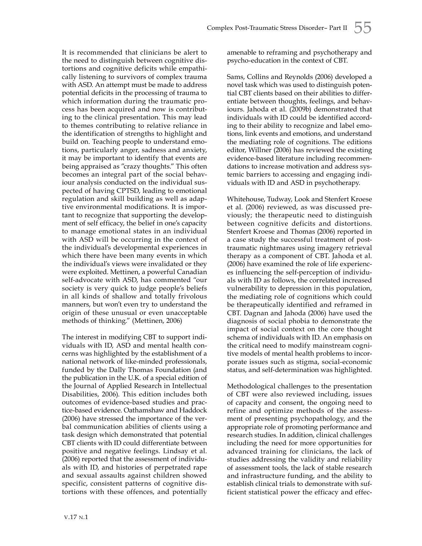It is recommended that clinicians be alert to the need to distinguish between cognitive distortions and cognitive deficits while empathically listening to survivors of complex trauma with ASD. An attempt must be made to address potential deficits in the processing of trauma to which information during the traumatic process has been acquired and now is contributing to the clinical presentation. This may lead to themes contributing to relative reliance in the identification of strengths to highlight and build on. Teaching people to understand emotions, particularly anger, sadness and anxiety, it may be important to identify that events are being appraised as "crazy thoughts." This often becomes an integral part of the social behaviour analysis conducted on the individual suspected of having CPTSD, leading to emotional regulation and skill building as well as adaptive environmental modifications. It is important to recognize that supporting the development of self efficacy, the belief in one's capacity to manage emotional states in an individual with ASD will be occurring in the context of the individual's developmental experiences in which there have been many events in which the individual's views were invalidated or they were exploited. Mettinen, a powerful Canadian self-advocate with ASD, has commented "our society is very quick to judge people's beliefs in all kinds of shallow and totally frivolous manners, but won't even try to understand the origin of these unusual or even unacceptable methods of thinking." (Mettinen, 2006)

The interest in modifying CBT to support individuals with ID, ASD and mental health concerns was highlighted by the establishment of a national network of like-minded professionals, funded by the Dally Thomas Foundation (and the publication in the U.K. of a special edition of the Journal of Applied Research in Intellectual Disabilities, 2006). This edition includes both outcomes of evidence-based studies and practice-based evidence. Oathamshaw and Haddock (2006) have stressed the importance of the verbal communication abilities of clients using a task design which demonstrated that potential CBT clients with ID could differentiate between positive and negative feelings. Lindsay et al. (2006) reported that the assessment of individuals with ID, and histories of perpetrated rape and sexual assaults against children showed specific, consistent patterns of cognitive distortions with these offences, and potentially amenable to reframing and psychotherapy and psycho-education in the context of CBT.

Sams, Collins and Reynolds (2006) developed a novel task which was used to distinguish potential CBT clients based on their abilities to differentiate between thoughts, feelings, and behaviours. Jahoda et al. (2009b) demonstrated that individuals with ID could be identified according to their ability to recognize and label emotions, link events and emotions, and understand the mediating role of cognitions. The editions editor, Willner (2006) has reviewed the existing evidence-based literature including recommendations to increase motivation and address systemic barriers to accessing and engaging individuals with ID and ASD in psychotherapy.

Whitehouse, Tudway, Look and Stenfert Kroese et al. (2006) reviewed, as was discussed previously; the therapeutic need to distinguish between cognitive deficits and distortions. Stenfert Kroese and Thomas (2006) reported in a case study the successful treatment of posttraumatic nightmares using imagery retrieval therapy as a component of CBT. Jahoda et al. (2006) have examined the role of life experiences influencing the self-perception of individuals with ID as follows, the correlated increased vulnerability to depression in this population, the mediating role of cognitions which could be therapeutically identified and reframed in CBT. Dagnan and Jahoda (2006) have used the diagnosis of social phobia to demonstrate the impact of social context on the core thought schema of individuals with ID. An emphasis on the critical need to modify mainstream cognitive models of mental health problems to incorporate issues such as stigma, social-economic status, and self-determination was highlighted.

Methodological challenges to the presentation of CBT were also reviewed including, issues of capacity and consent, the ongoing need to refine and optimize methods of the assessment of presenting psychopathology, and the appropriate role of promoting performance and research studies. In addition, clinical challenges including the need for more opportunities for advanced training for clinicians, the lack of studies addressing the validity and reliability of assessment tools, the lack of stable research and infrastructure funding, and the ability to establish clinical trials to demonstrate with sufficient statistical power the efficacy and effec-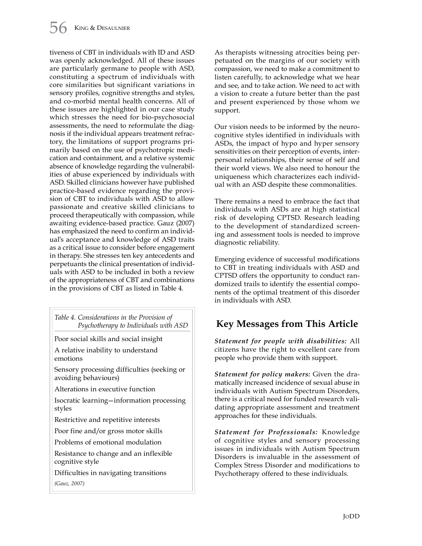tiveness of CBT in individuals with ID and ASD was openly acknowledged. All of these issues are particularly germane to people with ASD, constituting a spectrum of individuals with core similarities but significant variations in sensory profiles, cognitive strengths and styles, and co-morbid mental health concerns. All of these issues are highlighted in our case study which stresses the need for bio-psychosocial assessments, the need to reformulate the diagnosis if the individual appears treatment refractory, the limitations of support programs primarily based on the use of psychotropic medication and containment, and a relative systemic absence of knowledge regarding the vulnerabilities of abuse experienced by individuals with ASD. Skilled clinicians however have published practice-based evidence regarding the provision of CBT to individuals with ASD to allow passionate and creative skilled clinicians to proceed therapeutically with compassion, while awaiting evidence-based practice. Gauz (2007) has emphasized the need to confirm an individual's acceptance and knowledge of ASD traits as a critical issue to consider before engagement in therapy. She stresses ten key antecedents and perpetuants the clinical presentation of individuals with ASD to be included in both a review of the appropriateness of CBT and combinations in the provisions of CBT as listed in Table 4.

*Table 4. Considerations in the Provision of Psychotherapy to Individuals with ASD*

Poor social skills and social insight

A relative inability to understand emotions

Sensory processing difficulties (seeking or avoiding behaviours)

Alterations in executive function

Isocratic learning—information processing styles

Restrictive and repetitive interests

Poor fine and/or gross motor skills

Problems of emotional modulation

Resistance to change and an inflexible cognitive style

Difficulties in navigating transitions

*(Gauz, 2007)*

As therapists witnessing atrocities being perpetuated on the margins of our society with compassion, we need to make a commitment to listen carefully, to acknowledge what we hear and see, and to take action. We need to act with a vision to create a future better than the past and present experienced by those whom we support.

Our vision needs to be informed by the neurocognitive styles identified in individuals with ASDs, the impact of hypo and hyper sensory sensitivities on their perception of events, interpersonal relationships, their sense of self and their world views. We also need to honour the uniqueness which characterizes each individual with an ASD despite these commonalities.

There remains a need to embrace the fact that individuals with ASDs are at high statistical risk of developing CPTSD. Research leading to the development of standardized screening and assessment tools is needed to improve diagnostic reliability.

Emerging evidence of successful modifications to CBT in treating individuals with ASD and CPTSD offers the opportunity to conduct randomized trails to identify the essential components of the optimal treatment of this disorder in individuals with ASD.

# **Key Messages from This Article**

*Statement for people with disabilities:* All citizens have the right to excellent care from people who provide them with support.

*Statement for policy makers:* Given the dramatically increased incidence of sexual abuse in individuals with Autism Spectrum Disorders, there is a critical need for funded research validating appropriate assessment and treatment approaches for these individuals.

*Statement for Professionals:* Knowledge of cognitive styles and sensory processing issues in individuals with Autism Spectrum Disorders is invaluable in the assessment of Complex Stress Disorder and modifications to Psychotherapy offered to these individuals.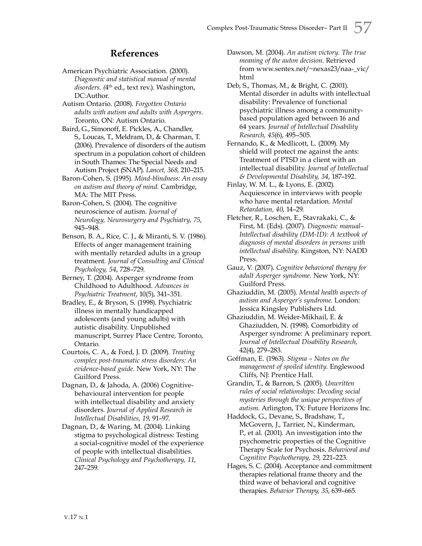## **References**

- American Psychiatric Association. (2000). *Diagnostic and statistical manual of mental disorders. (*4th ed., text rev.). Washington, DC:Author.
- Autism Ontario. (2008). *Forgotten Ontario adults with autism and adults with Aspergers.* Toronto, ON: Autism Ontario.
- Baird, G., Simonoff, E. Pickles, A., Chandler, S., Loucas, T., Meldram, D., & Charman, T. (2006). Prevalence of disorders of the autism spectrum in a population cohort of children in South Thames: The Special Needs and Autism Project (SNAP). *Lancet, 368*, 210–215.
- Baron-Cohen, S. (1995). *Mind-blindness: An essay on autism and theory of mind*. Cambridge, MA: The MIT Press.
- Baron-Cohen, S. (2004). The cognitive neuroscience of autism. *Journal of Neurology, Neurosurgery and Psychiatry, 75*, 945–948.
- Benson, B. A., Rice, C. J., & Miranti, S. V. (1986). Effects of anger management training with mentally retarded adults in a group treatment*. Journal of Consulting and Clinical Psychology, 54*, 728–729.
- Berney, T. (2004). Asperger syndrome from Childhood to Adulthood. *Advances in Psychiatric Treatment*, 10(5), 341–351.
- Bradley, E., & Bryson, S. (1998). Psychiatric illness in mentally handicapped adolescents (and young adults) with autistic disability. Unpublished manuscript, Surrey Place Centre, Toronto, Ontario.
- Courtois, C. A., & Ford, J. D. (2009). *Treating complex post-traumatic stress disorders: An evidence-based guide.* New York, NY: The Guilford Press.
- Dagnan, D., & Jahoda, A. (2006) Cognitivebehavioural intervention for people with intellectual disability and anxiety disorders. *Journal of Applied Research in Intellectual Disabilities, 19*, 91–97.
- Dagnan, D., & Waring, M. (2004). Linking stigma to psychological distress: Testing a social-cognitive model of the experience of people with intellectual disabilities. *Clinical Psychology and Psychotherapy, 11*, 247–259.

Dawson, M. (2004). *An autism victory. The true meaning of the auton decision*. Retrieved from www.sentex.net/~nexas23/naa-\_vic/ html

- Deb, S., Thomas, M., & Bright, C. (2001). Mental disorder in adults with intellectual disability: Prevalence of functional psychiatric illness among a communitybased population aged between 16 and 64 years. *Journal of Intellectual Disability Research, 45*(6), 495–505.
- Fernando, K., & Medlicott, L. (2009). My shield will protect me against the ants: Treatment of PTSD in a client with an intellectual disability. *Journal of Intellectual & Developmental Disability, 34*, 187–192.
- Finlay, W. M. L., & Lyons, E. (2002). Acquiescence in interviews with people who have mental retardation. *Mental Retardation, 40*, 14–29.
- Fletcher, R., Loschen, E., Stavrakaki, C., & First, M. (Eds). (2007). *Diagnostic manual– Intellectual disability (DM-ID): A textbook of diagnosis of mental disorders in persons with intellectual disability*. Kingston, NY: NADD Press.
- Gauz, V. (2007). *Cognitive behavioral therapy for adult Asperger syndrome.* New York, NY: Guilford Press.
- Ghaziuddin, M. (2005). *Mental health aspects of autism and Asperger's syndrome*. London: Jessica Kingsley Publishers Ltd.
- Ghaziuddin, M. Weider-Mikhail, E. & Ghaziudden, N. (1998). Comorbidity of Asperger syndrome: A preliminary report. *Journal of Intellectual Disability Research,*  42(4), 279–283.
- Goffman, E. (1963). *Stigma Notes on the management of spoiled identity.* Englewood Cliffs, NJ: Prentice Hall.
- Grandin, T., & Barron, S. (2005). *Unwritten rules of social relationships: Decoding social mysteries through the unique perspectives of autism*. Arlington, TX: Future Horizons Inc.
- Haddock, G., Devane, S., Bradshaw, T., McGovern, J., Tarrier, N., Kinderman, P., et al. (2001). An investigation into the psychometric properties of the Cognitive Therapy Scale for Psychosis. *Behavioral and Cognitive Psychotherapy, 29*, 221–223.
- Hages, S. C. (2004). Acceptance and commitment therapies relational frame theory and the third wave of behavioral and cognitive therapies. *Behavior Therapy, 35*, 639–665.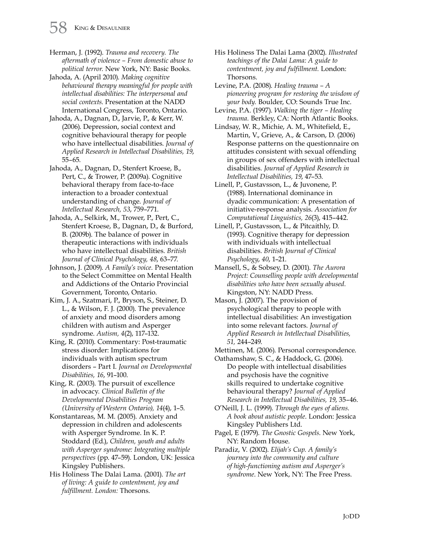Herman, J. (1992). *Trauma and recovery. The aftermath of violence – From domestic abuse to political terror.* New York, NY: Basic Books.

Jahoda, A. (April 2010). *Making cognitive behavioural therapy meaningful for people with intellectual disabilities: The interpersonal and social contexts*. Presentation at the NADD International Congress, Toronto, Ontario.

Jahoda, A., Dagnan, D., Jarvie, P., & Kerr, W. (2006). Depression, social context and cognitive behavioural therapy for people who have intellectual disabilities. *Journal of Applied Research in Intellectual Disabilities, 19*, 55–65.

Jahoda, A., Dagnan, D., Stenfert Kroese, B., Pert, C., & Trower, P. (2009a). Cognitive behavioral therapy from face-to-face interaction to a broader contextual understanding of change. *Journal of Intellectual Research, 53*, 759–771.

Jahoda, A., Selkirk, M., Trower, P., Pert, C., Stenfert Kroese, B., Dagnan, D., & Burford, B. (2009b). The balance of power in therapeutic interactions with individuals who have intellectual disabilities. *British Journal of Clinical Psychology, 48*, 63–77.

Johnson, J. (2009). *A Family's voice.* Presentation to the Select Committee on Mental Health and Addictions of the Ontario Provincial Government, Toronto, Ontario.

Kim, J. A., Szatmari, P., Bryson, S., Steiner, D. L., & Wilson, F. J. (2000). The prevalence of anxiety and mood disorders among children with autism and Asperger syndrome. *Autism, 4*(2), 117–132.

King, R. (2010). Commentary: Post-traumatic stress disorder: Implications for individuals with autism spectrum disorders – Part I. *Journal on Developmental Disabilities, 16*, 91–100.

King, R. (2003). The pursuit of excellence in advocacy*. Clinical Bulletin of the Developmental Disabilities Program (University of Western Ontario), 14*(4), 1–5.

Konstantareas, M. M. (2005). Anxiety and depression in children and adolescents with Asperger Syndrome. In K. P. Stoddard (Ed.), *Children, youth and adults with Asperger syndrome: Integrating multiple perspectives* (pp. 47–59). London, UK: Jessica Kingsley Publishers.

His Holiness The Dalai Lama. (2001). *The art of living: A guide to contentment, joy and fulfillment. London:* Thorsons.

His Holiness The Dalai Lama (2002). *Illustrated teachings of the Dalai Lama: A guide to contentment, joy and fulfillment.* London: Thorsons.

Levine, P.A. (2008). *Healing trauma – A pioneering program for restoring the wisdom of your body.* Boulder, CO: Sounds True Inc.

Levine, P.A. (1997). *Walking the tiger – Healing trauma.* Berkley, CA: North Atlantic Books.

Lindsay, W. R., Michie, A. M., Whitefield, E., Martin, V., Grieve, A., & Carson, D. (2006) Response patterns on the questionnaire on attitudes consistent with sexual offending in groups of sex offenders with intellectual disabilities. *Journal of Applied Research in Intellectual Disabilities, 19*, 47–53.

Linell, P., Gustavsson, L., & Juvonene, P. (1988). International dominance in dyadic communication: A presentation of initiative-response analysis. *Association for Computational Linguistics, 26*(3), 415–442.

Linell, P., Gustavsson, L., & Pitcaithly, D. (1993). Cognitive therapy for depression with individuals with intellectual disabilities. *British Journal of Clinical Psychology*, *40*, 1–21.

Mansell, S., & Sobsey, D. (2001). *The Aurora Project: Counselling people with developmental disabilities who have been sexually abused.*  Kingston, NY: NADD Press.

Mason, J. (2007). The provision of psychological therapy to people with intellectual disabilities: An investigation into some relevant factors. *Journal of Applied Research in Intellectual Disabilities, 51,* 244–249.

Mettinen, M. (2006). Personal correspondence.

Oathamshaw, S. C., & Haddock, G. (2006). Do people with intellectual disabilities and psychosis have the cognitive skills required to undertake cognitive behavioural therapy? *Journal of Applied Research in Intellectual Disabilities, 19*, 35–46.

O'Neill, J. L. (1999). *Through the eyes of aliens. A book about autistic people*. London: Jessica Kingsley Publishers Ltd.

Pagel, E (1979). *The Gnostic Gospels*. New York, NY: Random House.

Paradiz, V. (2002). *Elijah's Cup. A family's journey into the community and culture of high-functioning autism and Asperger's syndrome*. New York, NY: The Free Press.